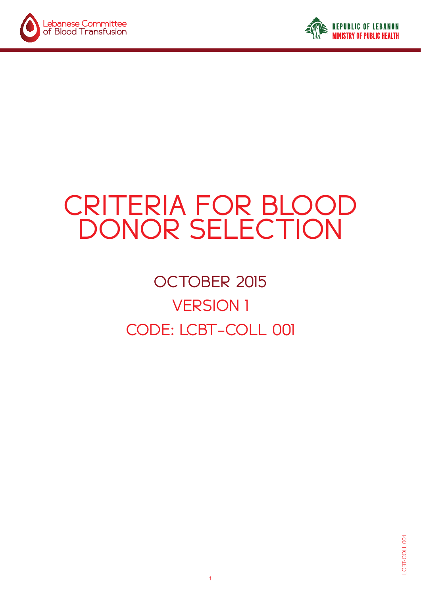



# CRITERIA FOR BLOOD DONOR SELECTION

## **OCTOBER 2015 VERSION 1** CODE: LCBT-COLL 001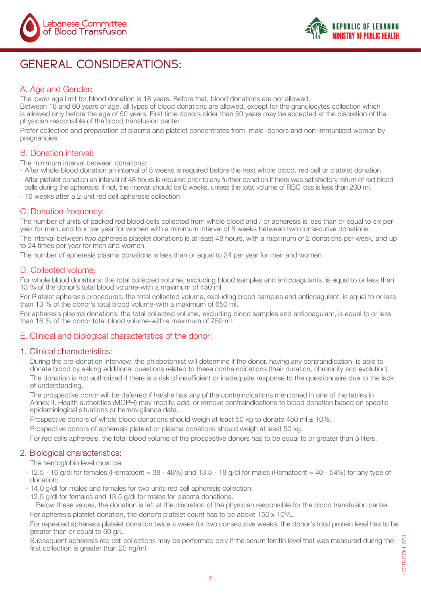



## GENERAL CONSIDERATIONS:

#### A. Age and Gender:

The lower age limit for blood donation is 18 years. Before that, blood donations are not allowed.

Between 18 and 60 years of age, all types of blood donations are allowed, except for the granulocytes collection which is allowed only before the age of 50 years. First time donors older than 60 years may be accepted at the discretion of the physician responsible of the blood transfusion center.

Prefer collection and preparation of plasma and platelet concentrates from male donors and non-immunized woman by pregnancies.

#### **B.** Donation interval:

The minimum interval between donations:

- After whole blood donation an interval of 8 weeks is required before the next whole blood, red cell or platelet donation.
- After platelet donation an interval of 48 hours is required prior to any further donation if there was satisfactory return of red blood cells during the apheresis; if not, the interval should be 8 weeks, unless the total volume of RBC loss is less than 200 ml.
- 16 weeks after a 2-unit red cell apheresis collection.

#### C. Donation frequency:

The number of units of packed red blood cells collected from whole blood and / or apheresis is less than or equal to six per year for men, and four per year for women with a minimum interval of 8 weeks between two consecutive donations. The interval between two apheresis platelet donations is at least 48 hours, with a maximum of 2 donations per week, and up

#### to 24 times per year for men and women.

The number of apheresis plasma donations is less than or equal to 24 per year for men and women.

#### D. Collected volume:

For whole blood donations: the total collected volume, excluding blood samples and anticoagulants, is equal to or less than 13 % of the donor's total blood volume-with a maximum of 450 ml.

For Platelet apheresis procedures: the total collected volume, excluding blood samples and anticoagulant, is equal to or less than 13 % of the donor's total blood volume-with a maximum of 650 ml.

For apheresis plasma donations; the total collected volume, excluding blood samples and anticoagulant, is equal to or less than 16  $%$  of the donor total blood volume-with a maximum of 750 ml.

#### E. Clinical and biological characteristics of the donor:

#### 1. Clinical characteristics:

During the pre-donation interview: the phlebotomist will determine if the donor, having any contraindication, is able to donate blood by asking additional questions related to these contraindications (their duration, chronicity and evolution).

The donation is not authorized if there is a risk of insufficient or inadequate response to the questionnaire due to the lack of understanding.

The prospective donor will be deferred if he/she has any of the contraindications mentioned in one of the tables in Annex II. Health authorities (MOPH) may modify, add, or remove contraindications to blood donation based on specific epidemiological situations or hemovigilance data.

Prospective donors of whole blood donations should weigh at least 50 kg to donate 450 ml  $\pm$  10%.

Prospective donors of apheresis platelet or plasma donations should weigh at least 50 kg.

For red cells apheresis, the total blood volume of the prospective donors has to be equal to or greater than 5 liters.

#### 2. Biological characteristics:

The hemoglobin level must be:

- 12.5 - 16 g/dl for females (Hematocrit = 38 - 48%) and 13.5 - 18 g/dl for males (Hematocrit = 40 - 54%) for any type of donation:

- 14.0 g/dl for males and females for two units red cell apheresis collection:
- 12.5 g/dl for females and 13.5 g/dl for males for plasma donations.

. Below these values, the donation is left at the discretion of the physician responsible for the blood transfusion center. For apheresis platelet donation, the donor's platelet count has to be above  $150 \times 10^9$ /L.

For repeated apheresis platelet donation twice a week for two consecutive weeks, the donor's total protein level has to be greater than or equal to 60 g/L.

Subsequent apheresis red cell collections may be performed only if the serum ferritin level that was measured during the first collection is greater than 20 ng/ml.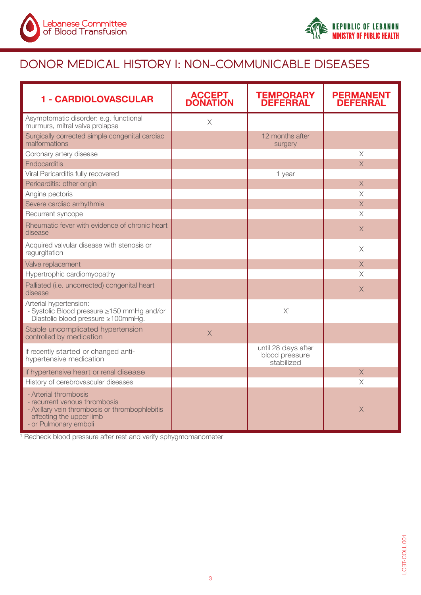



## DONOR MEDICAL HISTORY I: NON-COMMUNICABLE DISEASES

| 1 - CARDIOLOVASCULAR                                                                                                                                          | <b>ACCEPT</b><br><b>DONATION</b> | <b>TEMPORARY</b><br><b>DEFERRAL</b>                 | <b>PERMANENT</b><br><b>DEFERRAL</b> |
|---------------------------------------------------------------------------------------------------------------------------------------------------------------|----------------------------------|-----------------------------------------------------|-------------------------------------|
| Asymptomatic disorder: e.g. functional<br>murmurs, mitral valve prolapse                                                                                      | $\times$                         |                                                     |                                     |
| Surgically corrected simple congenital cardiac<br>malformations                                                                                               |                                  | 12 months after<br>surgery                          |                                     |
| Coronary artery disease                                                                                                                                       |                                  |                                                     | X                                   |
| <b>Endocarditis</b>                                                                                                                                           |                                  |                                                     | $\times$                            |
| Viral Pericarditis fully recovered                                                                                                                            |                                  | 1 year                                              |                                     |
| Pericarditis: other origin                                                                                                                                    |                                  |                                                     | $\overline{X}$                      |
| Angina pectoris                                                                                                                                               |                                  |                                                     | $\times$                            |
| Severe cardiac arrhythmia                                                                                                                                     |                                  |                                                     | $\times$                            |
| Recurrent syncope                                                                                                                                             |                                  |                                                     | $\times$                            |
| Rheumatic fever with evidence of chronic heart<br>disease                                                                                                     |                                  |                                                     | $\times$                            |
| Acquired valvular disease with stenosis or<br>regurgitation                                                                                                   |                                  |                                                     | $\times$                            |
| Valve replacement                                                                                                                                             |                                  |                                                     | $\times$                            |
| Hypertrophic cardiomyopathy                                                                                                                                   |                                  |                                                     | $\times$                            |
| Palliated (i.e. uncorrected) congenital heart<br>disease                                                                                                      |                                  |                                                     | $\times$                            |
| Arterial hypertension:<br>- Systolic Blood pressure ≥150 mmHg and/or<br>Diastolic blood pressure ≥100mmHg.                                                    |                                  | X <sup>1</sup>                                      |                                     |
| Stable uncomplicated hypertension<br>controlled by medication                                                                                                 | $\times$                         |                                                     |                                     |
| if recently started or changed anti-<br>hypertensive medication                                                                                               |                                  | until 28 days after<br>blood pressure<br>stabilized |                                     |
| if hypertensive heart or renal disease                                                                                                                        |                                  |                                                     | $\mathsf X$                         |
| History of cerebrovascular diseases                                                                                                                           |                                  |                                                     | $\times$                            |
| - Arterial thrombosis<br>- recurrent venous thrombosis<br>- Axillary vein thrombosis or thrombophlebitis<br>affecting the upper limb<br>- or Pulmonary emboli |                                  |                                                     | $\mathsf X$                         |

<sup>1</sup> Recheck blood pressure after rest and verify sphygmomanometer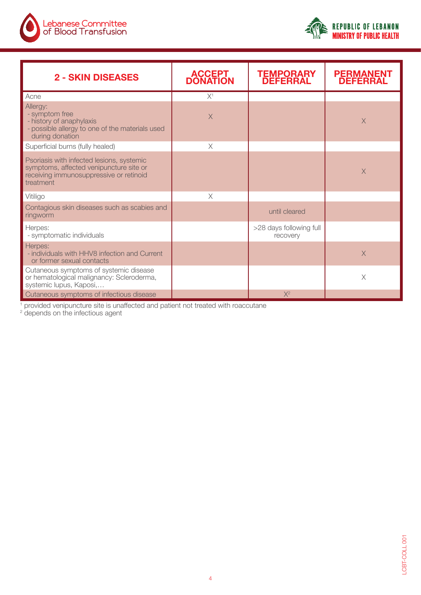



| <b>2 - SKIN DISEASES</b>                                                                                                                     | <b>ACCEPT</b><br><b>DONATION</b> | <b>TEMPORARY</b><br><b>DEFERRAL</b> | <b>PERMANENT</b><br><b>DEFERRAL</b> |
|----------------------------------------------------------------------------------------------------------------------------------------------|----------------------------------|-------------------------------------|-------------------------------------|
| Acne                                                                                                                                         | $X^1$                            |                                     |                                     |
| Allergy:<br>- symptom free<br>- history of anaphylaxis<br>- possible allergy to one of the materials used<br>during donation                 | X                                |                                     | $\times$                            |
| Superficial burns (fully healed)                                                                                                             | $\times$                         |                                     |                                     |
| Psoriasis with infected lesions, systemic<br>symptoms, affected venipuncture site or<br>receiving immunosuppressive or retinoid<br>treatment |                                  |                                     | $\times$                            |
| Vitiligo                                                                                                                                     | X                                |                                     |                                     |
| Contagious skin diseases such as scabies and<br>ringworm                                                                                     |                                  | until cleared                       |                                     |
| Herpes:<br>- symptomatic individuals                                                                                                         |                                  | >28 days following full<br>recovery |                                     |
| Herpes:<br>- individuals with HHV8 infection and Current<br>or former sexual contacts                                                        |                                  |                                     | $\times$                            |
| Cutaneous symptoms of systemic disease<br>or hematological malignancy: Scleroderma,<br>systemic lupus, Kaposi,                               |                                  |                                     | X                                   |
| Cutaneous symptoms of infectious disease                                                                                                     |                                  | $X^2$                               |                                     |

 $^{\rm 1}$  provided venipuncture site is unaffected and patient not treated with roaccutane<br><sup>2</sup> depends on the infectious agent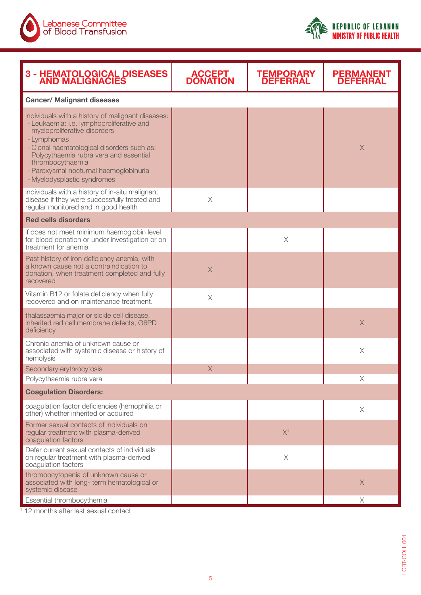



| <b>3 - HEMATOLOGICAL DISEASES<br/>AND MALIGNACIES</b>                                                                                                                                                                                                                                                                              | <b>ACCEPT<br/>DONATION</b> | <b>TEMPORARY<br/>DEFERRAL</b> | <b>PERMANENT</b><br><b>DEFERRAL</b> |  |  |  |
|------------------------------------------------------------------------------------------------------------------------------------------------------------------------------------------------------------------------------------------------------------------------------------------------------------------------------------|----------------------------|-------------------------------|-------------------------------------|--|--|--|
| <b>Cancer/ Malignant diseases</b>                                                                                                                                                                                                                                                                                                  |                            |                               |                                     |  |  |  |
| individuals with a history of malignant diseases:<br>- Leukaemia: i.e. lymphoproliferative and<br>myeloproliferative disorders<br>- Lymphomas<br>- Clonal haematological disorders such as:<br>Polycythaemia rubra vera and essential<br>thrombocythaemia<br>- Paroxysmal nocturnal haemoglobinuria<br>- Myelodysplastic syndromes |                            |                               | $\times$                            |  |  |  |
| individuals with a history of in-situ malignant<br>disease if they were successfully treated and<br>regular monitored and in good health                                                                                                                                                                                           | $\mathsf X$                |                               |                                     |  |  |  |
| <b>Red cells disorders</b>                                                                                                                                                                                                                                                                                                         |                            |                               |                                     |  |  |  |
| if does not meet minimum haemoglobin level<br>for blood donation or under investigation or on<br>treatment for anemia                                                                                                                                                                                                              |                            | $\times$                      |                                     |  |  |  |
| Past history of iron deficiency anemia, with<br>a known cause not a contraindication to<br>donation, when treatment completed and fully<br>recovered                                                                                                                                                                               | $\times$                   |                               |                                     |  |  |  |
| Vitamin B12 or folate deficiency when fully<br>recovered and on maintenance treatment.                                                                                                                                                                                                                                             | $\times$                   |                               |                                     |  |  |  |
| thalassaemia major or sickle cell disease,<br>inherited red cell membrane defects, G6PD<br>deficiency                                                                                                                                                                                                                              |                            |                               | $\times$                            |  |  |  |
| Chronic anemia of unknown cause or<br>associated with systemic disease or history of<br>hemolysis                                                                                                                                                                                                                                  |                            |                               | $\times$                            |  |  |  |
| Secondary erythrocytosis                                                                                                                                                                                                                                                                                                           | $\times$                   |                               |                                     |  |  |  |
| Polycythaemia rubra vera<br><b>Coagulation Disorders:</b>                                                                                                                                                                                                                                                                          |                            |                               | $\times$                            |  |  |  |
| coagulation factor deficiencies (hemophilia or                                                                                                                                                                                                                                                                                     |                            |                               | $\times$                            |  |  |  |
| other) whether inherited or acquired<br>Former sexual contacts of individuals on<br>regular treatment with plasma-derived<br>coagulation factors                                                                                                                                                                                   |                            | X <sup>1</sup>                |                                     |  |  |  |
| Defer current sexual contacts of individuals<br>on regular treatment with plasma-derived<br>coagulation factors                                                                                                                                                                                                                    |                            | $\mathsf X$                   |                                     |  |  |  |
| thrombocytopenia of unknown cause or<br>associated with long- term hematological or<br>systemic disease                                                                                                                                                                                                                            |                            |                               | $\times$                            |  |  |  |
| Essential thrombocythemia                                                                                                                                                                                                                                                                                                          |                            |                               | Χ                                   |  |  |  |

<sup>1</sup> 12 months after last sexual contact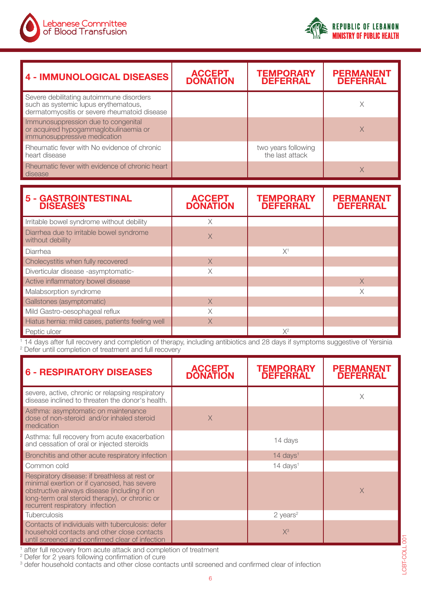



| <b>4 - IMMUNOLOGICAL DISEASES</b>                                                                                                | <b>ACCEPT<br/>DONATION</b> | <b>TEMPORARY<br/>DEFERRAL</b>          | <b>PERMANENT</b><br><b>DEFERRAL</b> |
|----------------------------------------------------------------------------------------------------------------------------------|----------------------------|----------------------------------------|-------------------------------------|
| Severe debilitating autoimmune disorders<br>such as systemic lupus erythematous,<br>dermatomyositis or severe rheumatoid disease |                            |                                        | $\times$                            |
| Immunosuppression due to congenital<br>or acquired hypogammaglobulinaemia or<br>immunosuppressive medication                     |                            |                                        | $\times$                            |
| Rheumatic fever with No evidence of chronic<br>heart disease                                                                     |                            | two years following<br>the last attack |                                     |
| Rheumatic fever with evidence of chronic heart<br>disease                                                                        |                            |                                        | X                                   |
|                                                                                                                                  |                            |                                        |                                     |
|                                                                                                                                  |                            |                                        |                                     |
| 5 - GASTROINTESTINAL<br>DISEASES                                                                                                 | <b>ACCEPT<br/>DONATION</b> | <b>TEMPORARY<br/>DEFERRAL</b>          | <b>PERMANENT</b><br><b>DEFERRAL</b> |
| Irritable bowel syndrome without debility                                                                                        | $\times$                   |                                        |                                     |
| Diarrhea due to irritable bowel syndrome<br>without debility                                                                     | $\times$                   |                                        |                                     |
| Diarrhea                                                                                                                         |                            | $X^1$                                  |                                     |
| Cholecystitis when fully recovered                                                                                               | $\times$                   |                                        |                                     |
| Diverticular disease -asymptomatic-                                                                                              | $\times$                   |                                        |                                     |
| Active inflammatory bowel disease                                                                                                |                            |                                        | $\times$                            |
| Malabsorption syndrome                                                                                                           |                            |                                        | X                                   |
| Gallstones (asymptomatic)                                                                                                        | $\times$                   |                                        |                                     |
| Mild Gastro-oesophageal reflux                                                                                                   | X                          |                                        |                                     |
| Hiatus hernia: mild cases, patients feeling well                                                                                 | $\times$                   |                                        |                                     |

<sup>1</sup> 14 days after full recovery and completion of therapy, including antibiotics and 28 days if symptoms suggestive of Yersinia <sup>2</sup> Defer until completion of treatment and full recovery

| <b>6 - RESPIRATORY DISEASES</b>                                                                                                                                                                                                   | <b>ACCEPT</b><br><b>DONATION</b> | TEMPORARY<br><b>DEFERRAL</b>   | <b>PERMANENT</b><br><b>DEFERRAL</b> |
|-----------------------------------------------------------------------------------------------------------------------------------------------------------------------------------------------------------------------------------|----------------------------------|--------------------------------|-------------------------------------|
| severe, active, chronic or relapsing respiratory<br>disease inclined to threaten the donor's health.                                                                                                                              |                                  |                                | X                                   |
| Asthma: asymptomatic on maintenance<br>dose of non-steroid and/or inhaled steroid<br>medication                                                                                                                                   | $\times$                         |                                |                                     |
| Asthma: full recovery from acute exacerbation<br>and cessation of oral or injected steroids                                                                                                                                       |                                  | 14 days                        |                                     |
| Bronchitis and other acute respiratory infection                                                                                                                                                                                  |                                  | $14 \text{ days}$ <sup>1</sup> |                                     |
| Common cold                                                                                                                                                                                                                       |                                  | $14 \text{ days}$ <sup>1</sup> |                                     |
| Respiratory disease: if breathless at rest or<br>minimal exertion or if cyanosed, has severe<br>obstructive airways disease (including if on<br>long-term oral steroid therapy), or chronic or<br>recurrent respiratory infection |                                  |                                | $\times$                            |
| <b>Tuberculosis</b>                                                                                                                                                                                                               |                                  | $2$ years <sup>2</sup>         |                                     |
| Contacts of individuals with tuberculosis: defer<br>household contacts and other close contacts<br>until screened and confirmed clear of infection                                                                                |                                  | $X^3$                          |                                     |

<sup>1</sup> after full recovery from acute attack and completion of treatment<br><sup>2</sup> Defer for 2 years following confirmation of cure<br><sup>3</sup> defer household contacts and other close contacts until screened and confirmed clear of infecti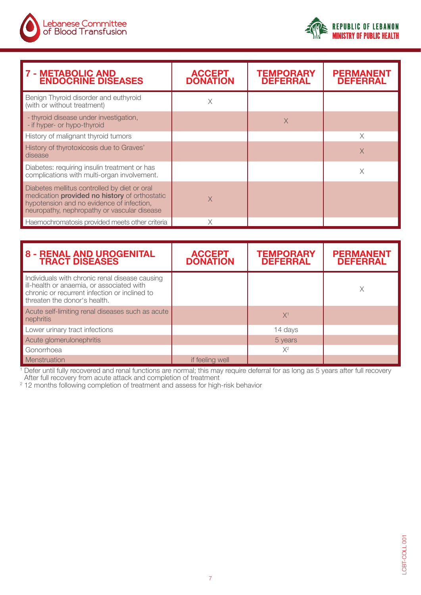



| <b>7 - METABOLIC AND</b><br><b>ENDOCRINE DISEASES</b>                                                                                                                                     | <b>ACCEPT</b><br><b>DONATION</b> | <b>TEMPORARY</b><br><b>DEFERRAL</b> | <b>PERMANENT</b><br><b>DEFERRAL</b> |
|-------------------------------------------------------------------------------------------------------------------------------------------------------------------------------------------|----------------------------------|-------------------------------------|-------------------------------------|
| Benign Thyroid disorder and euthyroid<br>(with or without treatment)                                                                                                                      | Χ                                |                                     |                                     |
| - thyroid disease under investigation,<br>- if hyper- or hypo-thyroid                                                                                                                     |                                  | X                                   |                                     |
| History of malignant thyroid tumors                                                                                                                                                       |                                  |                                     | X                                   |
| History of thyrotoxicosis due to Graves'<br>disease                                                                                                                                       |                                  |                                     | $\times$                            |
| Diabetes: requiring insulin treatment or has<br>complications with multi-organ involvement.                                                                                               |                                  |                                     | Χ                                   |
| Diabetes mellitus controlled by diet or oral<br>medication provided no history of orthostatic<br>hypotension and no evidence of infection,<br>neuropathy, nephropathy or vascular disease | $\times$                         |                                     |                                     |
| Haemochromatosis provided meets other criteria                                                                                                                                            |                                  |                                     |                                     |

| <b>8 - RENAL AND UROGENITAL<br/>TRACT DISEASES</b>                                                                                                                           | <b>ACCEPT</b><br><b>DONATION</b> | <b>TEMPORARY</b><br><b>DEFERRAL</b> | <b>PERMANENT</b><br><b>DEFERRAL</b> |
|------------------------------------------------------------------------------------------------------------------------------------------------------------------------------|----------------------------------|-------------------------------------|-------------------------------------|
| Individuals with chronic renal disease causing<br>ill-health or anaemia, or associated with<br>chronic or recurrent infection or inclined to<br>threaten the donor's health. |                                  |                                     | Χ                                   |
| Acute self-limiting renal diseases such as acute<br>nephritis                                                                                                                |                                  | X <sup>1</sup>                      |                                     |
| Lower urinary tract infections                                                                                                                                               |                                  | 14 days                             |                                     |
| Acute glomerulonephritis                                                                                                                                                     |                                  | 5 years                             |                                     |
| Gonorrhoea                                                                                                                                                                   |                                  | $X^2$                               |                                     |
| Menstruation                                                                                                                                                                 | if feeling well                  |                                     |                                     |

 $1$  Defer until fully recovered and renal functions are normal; this may require deferral for as long as 5 years after full recovery

After full recovery from acute attack and completion of treatment<br><sup>2</sup> 12 months following completion of treatment and assess for high-risk behavior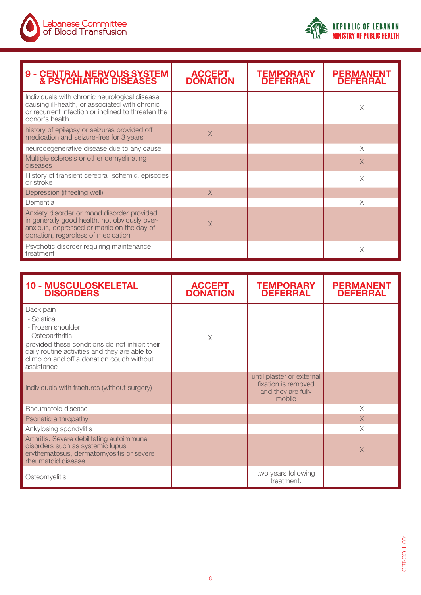



| <b>9 - CENTRAL NERVOUS SYSTEM<br/>&amp; PSYCHIATRIC DISEASES</b>                                                                                                               | <b>ACCEPT</b><br><b>DONATION</b> | TEMPORARY<br><b>DEFERRAL</b> | PERMANENT<br><b>DEFERRAL</b> |
|--------------------------------------------------------------------------------------------------------------------------------------------------------------------------------|----------------------------------|------------------------------|------------------------------|
| Individuals with chronic neurological disease<br>causing ill-health, or associated with chronic<br>or recurrent infection or inclined to threaten the<br>donor's health.       |                                  |                              | X                            |
| history of epilepsy or seizures provided off<br>medication and seizure-free for 3 years                                                                                        | X                                |                              |                              |
| neurodegenerative disease due to any cause                                                                                                                                     |                                  |                              | $\times$                     |
| Multiple sclerosis or other demyelinating<br>diseases                                                                                                                          |                                  |                              | $\times$                     |
| History of transient cerebral ischemic, episodes<br>or stroke                                                                                                                  |                                  |                              | $\times$                     |
| Depression (if feeling well)                                                                                                                                                   | $\times$                         |                              |                              |
| Dementia                                                                                                                                                                       |                                  |                              | X                            |
| Anxiety disorder or mood disorder provided<br>in generally good health, not obviously over-<br>anxious, depressed or manic on the day of<br>donation, regardless of medication | X                                |                              |                              |
| Psychotic disorder requiring maintenance<br>treatment                                                                                                                          |                                  |                              | X                            |

| <b>10 - MUSCULOSKELETAL<br/>DISORDERS</b>                                                                                                                                                                                      | <b>ACCEPT</b><br><b>DONATION</b> | <b>TEMPORARY</b><br><b>DEFERRAL</b>                                              | <b>PERMANENT</b><br><b>DEFERRAL</b> |
|--------------------------------------------------------------------------------------------------------------------------------------------------------------------------------------------------------------------------------|----------------------------------|----------------------------------------------------------------------------------|-------------------------------------|
| Back pain<br>- Sciatica<br>- Frozen shoulder<br>- Osteoarthritis<br>provided these conditions do not inhibit their<br>daily routine activities and they are able to<br>climb on and off a donation couch without<br>assistance | $\times$                         |                                                                                  |                                     |
| Individuals with fractures (without surgery)                                                                                                                                                                                   |                                  | until plaster or external<br>fixation is removed<br>and they are fully<br>mobile |                                     |
| Rheumatoid disease                                                                                                                                                                                                             |                                  |                                                                                  | $\times$                            |
| Psoriatic arthropathy                                                                                                                                                                                                          |                                  |                                                                                  | $\times$                            |
| Ankylosing spondylitis                                                                                                                                                                                                         |                                  |                                                                                  | X                                   |
| Arthritis: Severe debilitating autoimmune<br>disorders such as systemic lupus<br>erythematosus, dermatomyositis or severe<br>rheumatoid disease                                                                                |                                  |                                                                                  | $\times$                            |
| Osteomyelitis                                                                                                                                                                                                                  |                                  | two years following<br>treatment.                                                |                                     |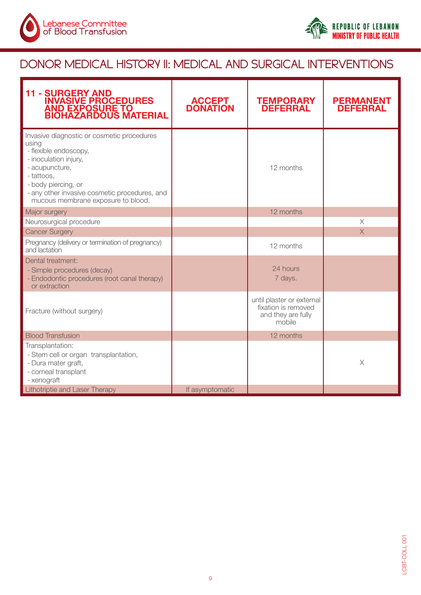



## DONOR MEDICAL HISTORY II: MEDICAL AND SURGICAL INTERVENTIONS

| <b>11 - SURGERY AND<br/>INVASIVE PROCEDURES<br/>AND EXPOSURE TO<br/>BIOHAZARDOUS MATERIAL</b>                                                                                                                                                       | <b>ACCEPT<br/>DONATION</b> | <b>TEMPORARY<br/>DEFERRAL</b>                                                    | <b>PERMANENT</b><br><b>DEFERRAL</b> |
|-----------------------------------------------------------------------------------------------------------------------------------------------------------------------------------------------------------------------------------------------------|----------------------------|----------------------------------------------------------------------------------|-------------------------------------|
| Invasive diagnostic or cosmetic procedures<br>using<br>- flexible endoscopy,<br>- inoculation injury,<br>- acupuncture,<br>- tattoos,<br>- body piercing, or<br>- any other invasive cosmetic procedures, and<br>mucous membrane exposure to blood. |                            | 12 months                                                                        |                                     |
| Major surgery                                                                                                                                                                                                                                       |                            | 12 months                                                                        |                                     |
| Neurosurgical procedure                                                                                                                                                                                                                             |                            |                                                                                  | $\times$                            |
| <b>Cancer Surgery</b>                                                                                                                                                                                                                               |                            |                                                                                  | $\times$                            |
| Pregnancy (delivery or termination of pregnancy)<br>and lactation                                                                                                                                                                                   |                            | 12 months                                                                        |                                     |
| Dental treatment:<br>- Simple procedures (decay)<br>- Endodontic procedures (root canal therapy)<br>or extraction                                                                                                                                   |                            | 24 hours<br>7 days.                                                              |                                     |
| Fracture (without surgery)                                                                                                                                                                                                                          |                            | until plaster or external<br>fixation is removed<br>and they are fully<br>mobile |                                     |
| <b>Blood Transfusion</b>                                                                                                                                                                                                                            |                            | 12 months                                                                        |                                     |
| Transplantation:<br>- Stem cell or organ transplantation,<br>- Dura mater graft,<br>- corneal transplant<br>- xenograft                                                                                                                             |                            |                                                                                  | $\times$                            |
| Lithotriptie and Laser Therapy                                                                                                                                                                                                                      | If asymptomatic            |                                                                                  |                                     |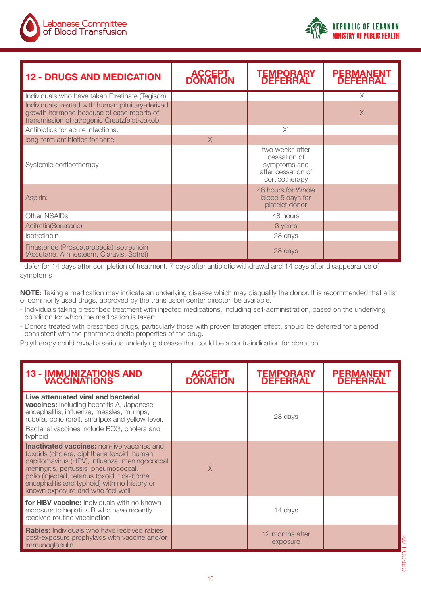

| <b>12 - DRUGS AND MEDICATION</b>                                                                                                              | <b>ACCEPT</b><br><b>DONATION</b> | <b>TEMPORARY</b><br><b>DEFERRAL</b>                                                     | <b>PERMANENT</b><br><b>DEFERRAL</b> |
|-----------------------------------------------------------------------------------------------------------------------------------------------|----------------------------------|-----------------------------------------------------------------------------------------|-------------------------------------|
| Individuals who have taken Etretinate (Tegison)                                                                                               |                                  |                                                                                         | X                                   |
| Individuals treated with human pituitary-derived<br>growth hormone because of case reports of<br>transmission of iatrogenic Creutzfeldt-Jakob |                                  |                                                                                         | $\times$                            |
| Antibiotics for acute infections:                                                                                                             |                                  | X <sup>1</sup>                                                                          |                                     |
| long-term antibiotics for acne                                                                                                                | $\times$                         |                                                                                         |                                     |
| Systemic corticotherapy                                                                                                                       |                                  | two weeks after<br>cessation of<br>symptoms and<br>after cessation of<br>corticotherapy |                                     |
| Aspirin:                                                                                                                                      |                                  | 48 hours for Whole<br>blood 5 days for<br>platelet donor                                |                                     |
| Other NSAIDs                                                                                                                                  |                                  | 48 hours                                                                                |                                     |
| Acitretin(Soriatane)                                                                                                                          |                                  | 3 years                                                                                 |                                     |
| Isotretinoin                                                                                                                                  |                                  | 28 days                                                                                 |                                     |
| Finasteride (Prosca, propecia) isotretinoin<br>(Accutane, Amnesteem, Claravis, Sotret)                                                        |                                  | 28 days                                                                                 |                                     |

<sup>1</sup> defer for 14 days after completion of treatment, 7 days after antibiotic withdrawal and 14 days after disappearance of symptoms

**NOTE:** Taking a medication may indicate an underlying disease which may disqualify the donor. It is recommended that a list of commonly used drugs, approved by the transfusion center director, be available.

- Individuals taking prescribed treatment with injected medications, including self-administration, based on the underlying condition for which the medication is taken
- Donors treated with prescribed drugs, particularly those with proven teratogen effect, should be deferred for a period consistent with the pharmacokinetic properties of the drug.

Polytherapy could reveal a serious underlying disease that could be a contraindication for donation

| <b>13 - IMMUNIZATIONS AND</b><br><b>VACCINATIONS</b>                                                                                                                                                                                                                                                                          | <b>ACCEPT</b><br><b>DONATION</b> | <b>TEMPORARY</b><br><b>DEFERRAL</b> | <b>PERMANENT</b><br><b>DEFERRAL</b> |
|-------------------------------------------------------------------------------------------------------------------------------------------------------------------------------------------------------------------------------------------------------------------------------------------------------------------------------|----------------------------------|-------------------------------------|-------------------------------------|
| Live attenuated viral and bacterial<br><b>vaccines:</b> including hepatitis A, Japanese<br>encephalitis, influenza, measles, mumps,<br>rubella, polio (oral), smallpox and yellow fever.<br>Bacterial vaccines include BCG, cholera and<br>typhoid                                                                            |                                  | 28 days                             |                                     |
| <b>Inactivated vaccines:</b> non-live vaccines and<br>toxoids (cholera, diphtheria toxoid, human<br>papillomavirus (HPV), influenza, meningococcal<br>meningitis, pertussis, pneumococcal,<br>polio (injected, tetanus toxoid, tick-borne<br>encephalitis and typhoid) with no history or<br>known exposure and who feel well | $\times$                         |                                     |                                     |
| for HBV vaccine: Individuals with no known<br>exposure to hepatitis B who have recently<br>received routine vaccination                                                                                                                                                                                                       |                                  | 14 days                             |                                     |
| <b>Rabies:</b> Individuals who have received rabies<br>post-exposure prophylaxis with vaccine and/or<br>immunoglobulin                                                                                                                                                                                                        |                                  | 12 months after<br>exposure         |                                     |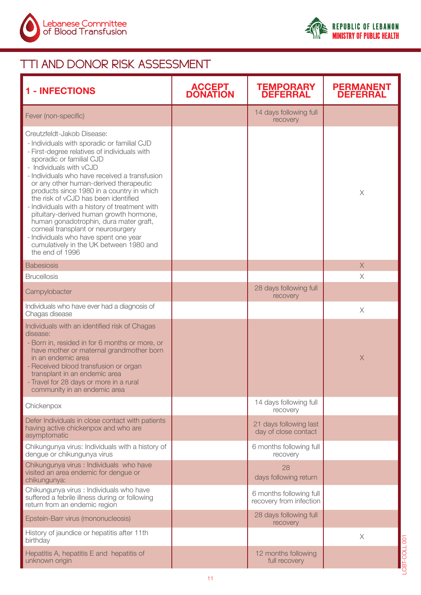



LCBT-COLL 001

**FOOLL 001** 

### TTI AND DONOR RISK ASSESSMENT

| <b>1 - INFECTIONS</b>                                                                                                                                                                                                                                                                                                                                                                                                                                                                                                                                                                                                                                | <b>ACCEPT<br/>DONATION</b> | <b>TEMPORARY<br/>DEFERRAL</b>                      | <b>PERMANENT</b><br><b>DEFERRAL</b> |
|------------------------------------------------------------------------------------------------------------------------------------------------------------------------------------------------------------------------------------------------------------------------------------------------------------------------------------------------------------------------------------------------------------------------------------------------------------------------------------------------------------------------------------------------------------------------------------------------------------------------------------------------------|----------------------------|----------------------------------------------------|-------------------------------------|
| Fever (non-specific)                                                                                                                                                                                                                                                                                                                                                                                                                                                                                                                                                                                                                                 |                            | 14 days following full<br>recovery                 |                                     |
| Creutzfeldt-Jakob Disease:<br>- Individuals with sporadic or familial CJD<br>- First-degree relatives of individuals with<br>sporadic or familial CJD<br>- Individuals with vCJD<br>- Individuals who have received a transfusion<br>or any other human-derived therapeutic<br>products since 1980 in a country in which<br>the risk of vCJD has been identified<br>- Individuals with a history of treatment with<br>pituitary-derived human growth hormone,<br>human gonadotrophin, dura mater graft,<br>corneal transplant or neurosurgery<br>- Individuals who have spent one year<br>cumulatively in the UK between 1980 and<br>the end of 1996 |                            |                                                    | $\times$                            |
| <b>Babesiosis</b>                                                                                                                                                                                                                                                                                                                                                                                                                                                                                                                                                                                                                                    |                            |                                                    | $\times$                            |
| <b>Brucellosis</b>                                                                                                                                                                                                                                                                                                                                                                                                                                                                                                                                                                                                                                   |                            |                                                    | $\times$                            |
| Campylobacter                                                                                                                                                                                                                                                                                                                                                                                                                                                                                                                                                                                                                                        |                            | 28 days following full<br>recovery                 |                                     |
| Individuals who have ever had a diagnosis of<br>Chagas disease                                                                                                                                                                                                                                                                                                                                                                                                                                                                                                                                                                                       |                            |                                                    | $\times$                            |
| Individuals with an identified risk of Chagas<br>disease:<br>- Born in, resided in for 6 months or more, or<br>have mother or maternal grandmother born<br>in an endemic area<br>- Received blood transfusion or organ<br>transplant in an endemic area<br>- Travel for 28 days or more in a rural<br>community in an endemic area                                                                                                                                                                                                                                                                                                                   |                            |                                                    | $\times$                            |
| Chickenpox                                                                                                                                                                                                                                                                                                                                                                                                                                                                                                                                                                                                                                           |                            | 14 days following full<br>recovery                 |                                     |
| Defer Individuals in close contact with patients<br>having active chickenpox and who are<br>asymptomatic                                                                                                                                                                                                                                                                                                                                                                                                                                                                                                                                             |                            | 21 days following last<br>day of close contact     |                                     |
| Chikungunya virus: Individuals with a history of<br>dengue or chikungunya virus                                                                                                                                                                                                                                                                                                                                                                                                                                                                                                                                                                      |                            | 6 months following full<br>recovery                |                                     |
| Chikungunya virus : Individuals who have<br>visited an area endemic for dengue or<br>chikungunya:                                                                                                                                                                                                                                                                                                                                                                                                                                                                                                                                                    |                            | 28<br>days following return                        |                                     |
| Chikungunya virus : Individuals who have<br>suffered a febrile illness during or following<br>return from an endemic region                                                                                                                                                                                                                                                                                                                                                                                                                                                                                                                          |                            | 6 months following full<br>recovery from infection |                                     |
| Epstein-Barr virus (mononucleosis)                                                                                                                                                                                                                                                                                                                                                                                                                                                                                                                                                                                                                   |                            | 28 days following full<br>recovery                 |                                     |
| History of jaundice or hepatitis after 11th<br>birthday                                                                                                                                                                                                                                                                                                                                                                                                                                                                                                                                                                                              |                            |                                                    | $\times$                            |
| Hepatitis A, hepatitis E and hepatitis of<br>unknown origin                                                                                                                                                                                                                                                                                                                                                                                                                                                                                                                                                                                          |                            | 12 months following<br>full recovery               |                                     |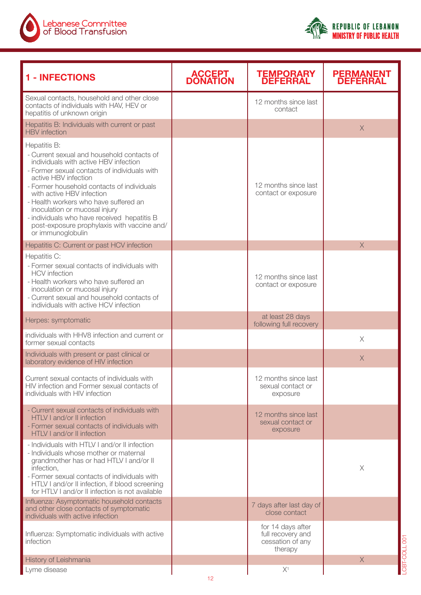



| <b>1 - INFECTIONS</b>                                                                                                                                                                                                                                                                                                                                                                                                                               | <b>ACCEPT<br/>DONATION</b> | <b>TEMPORARY<br/>DEFERRAL</b>                                         | <b>PERMANENT<br/>DEFERRAL</b> |
|-----------------------------------------------------------------------------------------------------------------------------------------------------------------------------------------------------------------------------------------------------------------------------------------------------------------------------------------------------------------------------------------------------------------------------------------------------|----------------------------|-----------------------------------------------------------------------|-------------------------------|
| Sexual contacts, household and other close<br>contacts of individuals with HAV, HEV or<br>hepatitis of unknown origin                                                                                                                                                                                                                                                                                                                               |                            | 12 months since last<br>contact                                       |                               |
| Hepatitis B: Individuals with current or past<br><b>HBV</b> infection                                                                                                                                                                                                                                                                                                                                                                               |                            |                                                                       | X                             |
| Hepatitis B:<br>- Current sexual and household contacts of<br>individuals with active HBV infection<br>- Former sexual contacts of individuals with<br>active HBV infection<br>- Former household contacts of individuals<br>with active HBV infection<br>- Health workers who have suffered an<br>inoculation or mucosal injury<br>- individuals who have received hepatitis B<br>post-exposure prophylaxis with vaccine and/<br>or immunoglobulin |                            | 12 months since last<br>contact or exposure                           |                               |
| Hepatitis C: Current or past HCV infection                                                                                                                                                                                                                                                                                                                                                                                                          |                            |                                                                       | $\times$                      |
| Hepatitis C:<br>- Former sexual contacts of individuals with<br><b>HCV</b> infection<br>- Health workers who have suffered an<br>inoculation or mucosal injury<br>- Current sexual and household contacts of<br>individuals with active HCV infection                                                                                                                                                                                               |                            | 12 months since last<br>contact or exposure                           |                               |
| Herpes: symptomatic                                                                                                                                                                                                                                                                                                                                                                                                                                 |                            | at least 28 days<br>following full recovery                           |                               |
| individuals with HHV8 infection and current or<br>former sexual contacts                                                                                                                                                                                                                                                                                                                                                                            |                            |                                                                       | $\times$                      |
| Individuals with present or past clinical or<br>laboratory evidence of HIV infection                                                                                                                                                                                                                                                                                                                                                                |                            |                                                                       | $\times$                      |
| Current sexual contacts of individuals with<br>HIV infection and Former sexual contacts of<br>individuals with HIV infection                                                                                                                                                                                                                                                                                                                        |                            | 12 months since last<br>sexual contact or<br>exposure                 |                               |
| - Current sexual contacts of individuals with<br>HTLV I and/or II infection<br>- Former sexual contacts of individuals with<br>HTLV I and/or II infection                                                                                                                                                                                                                                                                                           |                            | 12 months since last<br>sexual contact or<br>exposure                 |                               |
| - Individuals with HTLV I and/or II infection<br>- Individuals whose mother or maternal<br>grandmother has or had HTLV I and/or II<br>infection,<br>- Former sexual contacts of individuals with<br>HTLV I and/or II infection, if blood screening<br>for HTLV I and/or II infection is not available                                                                                                                                               |                            |                                                                       | X                             |
| Influenza: Asymptomatic household contacts<br>and other close contacts of symptomatic<br>individuals with active infection                                                                                                                                                                                                                                                                                                                          |                            | 7 days after last day of<br>close contact                             |                               |
| Influenza: Symptomatic individuals with active<br>infection                                                                                                                                                                                                                                                                                                                                                                                         |                            | for 14 days after<br>full recovery and<br>cessation of any<br>therapy |                               |
| History of Leishmania                                                                                                                                                                                                                                                                                                                                                                                                                               |                            |                                                                       | $\times$                      |
| Lyme disease                                                                                                                                                                                                                                                                                                                                                                                                                                        | 12                         | $X^1$                                                                 |                               |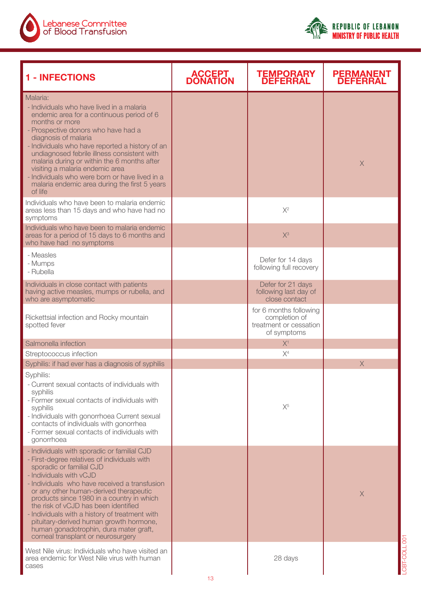



| <b>1 - INFECTIONS</b>                                                                                                                                                                                                                                                                                                                                                                                                                                                                                           | <b>ACCEPT<br/>DONATION</b> | <b>TEMPORARY<br/>DEFERRAL</b>                                                    | <b>PERMANENT</b><br><b>DEFERRAL</b> |
|-----------------------------------------------------------------------------------------------------------------------------------------------------------------------------------------------------------------------------------------------------------------------------------------------------------------------------------------------------------------------------------------------------------------------------------------------------------------------------------------------------------------|----------------------------|----------------------------------------------------------------------------------|-------------------------------------|
| Malaria:<br>- Individuals who have lived in a malaria<br>endemic area for a continuous period of 6<br>months or more<br>- Prospective donors who have had a<br>diagnosis of malaria<br>- Individuals who have reported a history of an<br>undiagnosed febrile illness consistent with<br>malaria during or within the 6 months after<br>visiting a malaria endemic area<br>- Individuals who were born or have lived in a<br>malaria endemic area during the first 5 years<br>of life                           |                            |                                                                                  | $\mathsf X$                         |
| Individuals who have been to malaria endemic<br>areas less than 15 days and who have had no<br>symptoms<br>Individuals who have been to malaria endemic<br>areas for a period of 15 days to 6 months and<br>who have had no symptoms                                                                                                                                                                                                                                                                            |                            | $X^2$<br>$X^3$                                                                   |                                     |
| - Measles<br>- Mumps<br>- Rubella                                                                                                                                                                                                                                                                                                                                                                                                                                                                               |                            | Defer for 14 days<br>following full recovery                                     |                                     |
| Individuals in close contact with patients<br>having active measles, mumps or rubella, and<br>who are asymptomatic                                                                                                                                                                                                                                                                                                                                                                                              |                            | Defer for 21 days<br>following last day of<br>close contact                      |                                     |
| Rickettsial infection and Rocky mountain<br>spotted fever                                                                                                                                                                                                                                                                                                                                                                                                                                                       |                            | for 6 months following<br>completion of<br>treatment or cessation<br>of symptoms |                                     |
| Salmonella infection                                                                                                                                                                                                                                                                                                                                                                                                                                                                                            |                            | X <sup>1</sup>                                                                   |                                     |
| Streptococcus infection                                                                                                                                                                                                                                                                                                                                                                                                                                                                                         |                            | X <sup>4</sup>                                                                   |                                     |
| Syphilis: if had ever has a diagnosis of syphilis<br>Syphilis:<br>- Current sexual contacts of individuals with<br>syphilis<br>- Former sexual contacts of individuals with<br>syphilis<br>- Individuals with gonorrhoea Current sexual<br>contacts of individuals with gonorrhea<br>- Former sexual contacts of individuals with<br>gonorrhoea                                                                                                                                                                 |                            | $X^5$                                                                            | X                                   |
| - Individuals with sporadic or familial CJD<br>- First-degree relatives of individuals with<br>sporadic or familial CJD<br>- Individuals with vCJD<br>- Individuals who have received a transfusion<br>or any other human-derived therapeutic<br>products since 1980 in a country in which<br>the risk of vCJD has been identified<br>- Individuals with a history of treatment with<br>pituitary-derived human growth hormone,<br>human gonadotrophin, dura mater graft,<br>corneal transplant or neurosurgery |                            |                                                                                  | X<br>$\overline{8}$                 |
| West Nile virus: Individuals who have visited an<br>area endemic for West Nile virus with human<br>cases                                                                                                                                                                                                                                                                                                                                                                                                        | 13                         | 28 days                                                                          | <b>TTOC</b>                         |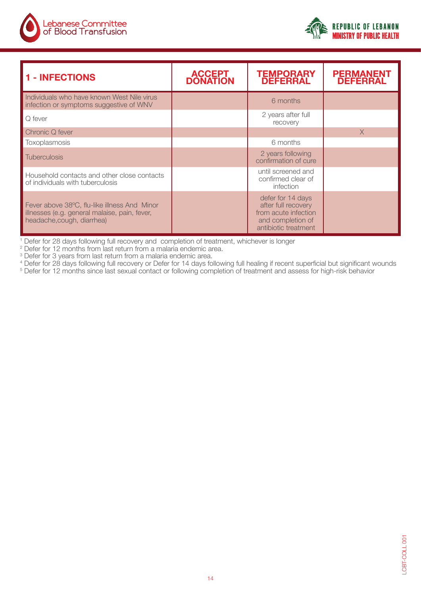

| <b>1 - INFECTIONS</b>                                                                                                       | <b>ACCEPT</b><br><b>DONATION</b> | <b>TEMPORARY</b><br><b>DEFERRAL</b>                                                                           | <b>PERMANENT</b><br><b>DEFERRAL</b> |
|-----------------------------------------------------------------------------------------------------------------------------|----------------------------------|---------------------------------------------------------------------------------------------------------------|-------------------------------------|
| Individuals who have known West Nile virus<br>infection or symptoms suggestive of WNV                                       |                                  | 6 months                                                                                                      |                                     |
| Q fever                                                                                                                     | 2 years after full<br>recovery   |                                                                                                               |                                     |
| Chronic Q fever                                                                                                             |                                  |                                                                                                               | $\times$                            |
| Toxoplasmosis                                                                                                               |                                  | 6 months                                                                                                      |                                     |
| <b>Tuberculosis</b>                                                                                                         |                                  | 2 years following<br>confirmation of cure                                                                     |                                     |
| Household contacts and other close contacts<br>of individuals with tuberculosis                                             |                                  | until screened and<br>confirmed clear of<br>infection                                                         |                                     |
| Fever above 38°C, flu-like illness And Minor<br>illnesses (e.g. general malaise, pain, fever,<br>headache, cough, diarrhea) |                                  | defer for 14 days<br>after full recovery<br>from acute infection<br>and completion of<br>antibiotic treatment |                                     |

<sup>1</sup> Defer for 28 days following full recovery and completion of treatment, whichever is longer

 $2$  Defer for 12 months from last return from a malaria endemic area.

<sup>3</sup> Defer for 3 years from last return from a malaria endemic area.<br><sup>4</sup> Defer for 28 days following full recovery or Defer for 14 days following full healing if recent superficial but significant wounds<br><sup>5</sup> Defer for 12 mo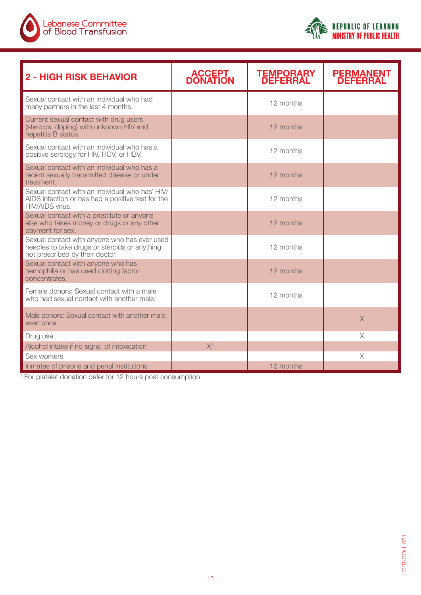

| <b>2 - HIGH RISK BEHAVIOR</b>                                                                                                    | <b>ACCEPT</b><br><b>DONATION</b> | <b>TEMPORARY</b><br><b>DEFERRAL</b> | <b>PERMANENT</b><br><b>DEFERRAL</b> |
|----------------------------------------------------------------------------------------------------------------------------------|----------------------------------|-------------------------------------|-------------------------------------|
| Sexual contact with an individual who had<br>many partners in the last 4 months.                                                 |                                  | 12 months                           |                                     |
| Current sexual contact with drug users<br>(steroids, doping) with unknown HIV and<br>hepatitis B status.                         |                                  | 12 months                           |                                     |
| Sexual contact with an individual who has a<br>positive serology for HIV, HCV, or HBV.                                           |                                  | 12 months                           |                                     |
| Sexual contact with an individual who has a<br>recent sexually transmitted disease or under<br>treatment.                        |                                  | 12 months                           |                                     |
| Sexual contact with an individual who has' HIV/<br>AIDS infection or has had a positive test for the<br>HIV/AIDS virus.          |                                  | 12 months                           |                                     |
| Sexual contact with a prostitute or anyone<br>else who takes money or drugs or any other<br>payment for sex.                     |                                  | 12 months                           |                                     |
| Sexual contact with anyone who has ever used<br>needles to take drugs or steroids or anything<br>not prescribed by their doctor. |                                  | 12 months                           |                                     |
| Sexual contact with anyone who has<br>hemophilia or has used clotting factor<br>concentrates.                                    |                                  | 12 months                           |                                     |
| Female donors: Sexual contact with a male<br>who had sexual contact with another male.                                           |                                  | 12 months                           |                                     |
| Male donors: Sexual contact with another male,<br>even once.                                                                     |                                  |                                     | $\times$                            |
| Drug use                                                                                                                         |                                  |                                     | $\times$                            |
| Alcohol intake if no signs of intoxication                                                                                       | X <sup>1</sup>                   |                                     |                                     |
| Sex workers                                                                                                                      |                                  |                                     | X                                   |
| Inmates of prisons and penal institutions                                                                                        |                                  | 12 months                           |                                     |

<sup>1</sup> For platelet donation defer for 12 hours post consumption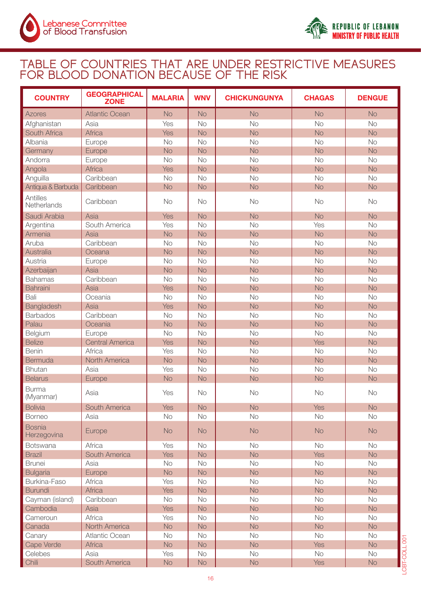

#### TABLE OF COUNTRIES THAT ARE UNDER RESTRICTIVE MEASURES FOR BLOOD DONATION BECAUSE OF THE RISK

| <b>COUNTRY</b>               | <b>GEOGRAPHICAL</b><br><b>ZONE</b> | <b>MALARIA</b> | <b>WNV</b> | <b>CHICKUNGUNYA</b> | <b>CHAGAS</b> | <b>DENGUE</b> |
|------------------------------|------------------------------------|----------------|------------|---------------------|---------------|---------------|
| <b>Azores</b>                | <b>Atlantic Ocean</b>              | <b>No</b>      | <b>No</b>  | <b>No</b>           | <b>No</b>     | <b>No</b>     |
| Afghanistan                  | Asia                               | Yes            | <b>No</b>  | <b>No</b>           | <b>No</b>     | No            |
| South Africa                 | Africa                             | Yes            | <b>No</b>  | <b>No</b>           | <b>No</b>     | <b>No</b>     |
| Albania                      | Europe                             | <b>No</b>      | <b>No</b>  | No                  | No            | No            |
| Germany                      | Europe                             | <b>No</b>      | <b>No</b>  | <b>No</b>           | <b>No</b>     | <b>No</b>     |
| Andorra                      | Europe                             | <b>No</b>      | <b>No</b>  | <b>No</b>           | <b>No</b>     | No            |
| Angola                       | Africa                             | Yes            | <b>No</b>  | <b>No</b>           | <b>No</b>     | <b>No</b>     |
| Anguilla                     | Caribbean                          | <b>No</b>      | <b>No</b>  | <b>No</b>           | <b>No</b>     | No            |
| Antiqua & Barbuda            | Caribbean                          | <b>No</b>      | <b>No</b>  | <b>No</b>           | <b>No</b>     | No            |
| Antilles<br>Netherlands      | Caribbean                          | <b>No</b>      | No         | <b>No</b>           | No            | No            |
| Saudi Arabia                 | Asia                               | Yes            | <b>No</b>  | <b>No</b>           | <b>No</b>     | No            |
| Argentina                    | South America                      | Yes            | <b>No</b>  | <b>No</b>           | Yes           | No            |
| Armenia                      | Asia                               | <b>No</b>      | <b>No</b>  | <b>No</b>           | <b>No</b>     | No            |
| Aruba                        | Caribbean                          | <b>No</b>      | <b>No</b>  | <b>No</b>           | <b>No</b>     | No            |
| Australia                    | Oceana                             | <b>No</b>      | <b>No</b>  | <b>No</b>           | <b>No</b>     | No            |
| Austria                      | Europe                             | <b>No</b>      | <b>No</b>  | <b>No</b>           | <b>No</b>     | No            |
| Azerbaijan                   | Asia                               | <b>No</b>      | <b>No</b>  | <b>No</b>           | <b>No</b>     | No            |
| <b>Bahamas</b>               | Caribbean                          | <b>No</b>      | <b>No</b>  | <b>No</b>           | <b>No</b>     | <b>No</b>     |
| Bahraini                     | Asia                               | Yes            | <b>No</b>  | <b>No</b>           | <b>No</b>     | <b>No</b>     |
| Bali                         | Oceania                            | <b>No</b>      | <b>No</b>  | <b>No</b>           | <b>No</b>     | No            |
| Bangladesh                   | Asia                               | Yes            | <b>No</b>  | <b>No</b>           | <b>No</b>     | <b>No</b>     |
| <b>Barbados</b>              | Caribbean                          | <b>No</b>      | <b>No</b>  | <b>No</b>           | <b>No</b>     | <b>No</b>     |
| Palau                        | Oceania                            | <b>No</b>      | <b>No</b>  | <b>No</b>           | <b>No</b>     | <b>No</b>     |
| Belgium                      | Europe                             | <b>No</b>      | <b>No</b>  | <b>No</b>           | <b>No</b>     | No            |
| <b>Belize</b>                | <b>Central America</b>             | <b>Yes</b>     | <b>No</b>  | <b>No</b>           | Yes           | <b>No</b>     |
| Benin                        | Africa                             | Yes            | <b>No</b>  | <b>No</b>           | No            | No            |
| Bermuda                      | North America                      | <b>No</b>      | <b>No</b>  | <b>No</b>           | <b>No</b>     | <b>No</b>     |
| <b>Bhutan</b>                | Asia                               | Yes            | <b>No</b>  | <b>No</b>           | No            | No            |
| <b>Belarus</b>               | Europe                             | <b>No</b>      | <b>No</b>  | <b>No</b>           | <b>No</b>     | <b>No</b>     |
| <b>Burma</b><br>(Myanmar)    | Asia                               | Yes            | <b>No</b>  | No                  | <b>No</b>     | No            |
| <b>Bolivia</b>               | South America                      | <b>Yes</b>     | <b>No</b>  | <b>No</b>           | <b>Yes</b>    | <b>No</b>     |
| <b>Borneo</b>                | Asia                               | No             | <b>No</b>  | No                  | No            | No            |
| <b>Bosnia</b><br>Herzegovina | Europe                             | <b>No</b>      | <b>No</b>  | <b>No</b>           | No            | No            |
| <b>Botswana</b>              | Africa                             | Yes            | No         | <b>No</b>           | No            | No            |
| <b>Brazil</b>                | South America                      | <b>Yes</b>     | <b>No</b>  | No                  | <b>Yes</b>    | No            |
| <b>Brunei</b>                | Asia                               | No             | No         | No                  | <b>No</b>     | <b>No</b>     |
| <b>Bulgaria</b>              | Europe                             | No             | <b>No</b>  | No                  | No            | No            |
| Burkina-Faso                 | Africa                             | Yes            | <b>No</b>  | No                  | No            | No            |
| <b>Burundi</b>               | <b>Africa</b>                      | <b>Yes</b>     | <b>No</b>  | No                  | <b>No</b>     | No            |
| Cayman (island)              | Caribbean                          | <b>No</b>      | <b>No</b>  | No                  | <b>No</b>     | No            |
| Cambodia                     | Asia                               | <b>Yes</b>     | <b>No</b>  | No                  | <b>No</b>     | No            |
| Cameroun                     | Africa                             | Yes            | No         | No                  | No            | No            |
| Canada                       | North America                      | <b>No</b>      | <b>No</b>  | No                  | <b>No</b>     | No            |
| Canary                       | Atlantic Ocean                     | No             | No         | No                  | No            | No            |
| Cape Verde                   | <b>Africa</b>                      | <b>No</b>      | <b>No</b>  | No                  | <b>Yes</b>    | No            |
| Celebes                      | Asia                               | Yes            | No         | No                  | No            | No            |
| Chili                        | South America                      | No             | No         | No                  | <b>Yes</b>    | No            |
|                              |                                    |                |            |                     |               |               |

**REPUBLIC OF LEBANON MINISTRY OF PUBLIC HEALTH**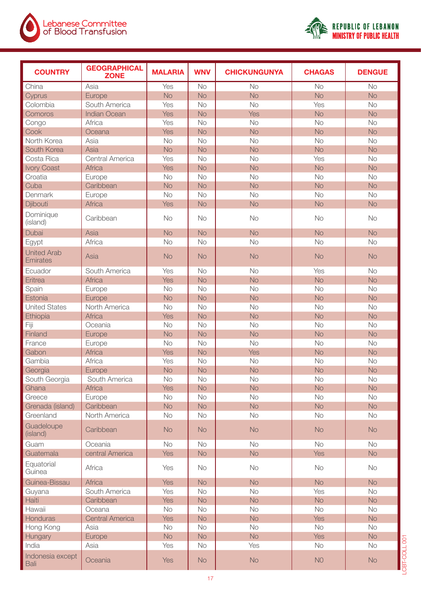



| <b>COUNTRY</b>                        | <b>GEOGRAPHICAL</b><br><b>ZONE</b> | <b>MALARIA</b> | <b>WNV</b> | <b>CHICKUNGUNYA</b> | <b>CHAGAS</b> | <b>DENGUE</b> |
|---------------------------------------|------------------------------------|----------------|------------|---------------------|---------------|---------------|
| China                                 | Asia                               | Yes            | No         | No                  | <b>No</b>     | <b>No</b>     |
| Cyprus                                | Europe                             | <b>No</b>      | <b>No</b>  | <b>No</b>           | <b>No</b>     | <b>No</b>     |
| Colombia                              | South America                      | Yes            | <b>No</b>  | <b>No</b>           | Yes           | No            |
| Comoros                               | <b>Indian Ocean</b>                | <b>Yes</b>     | <b>No</b>  | Yes                 | <b>No</b>     | <b>No</b>     |
| Congo                                 | Africa                             | Yes            | <b>No</b>  | <b>No</b>           | No            | <b>No</b>     |
| Cook                                  | Oceana                             | Yes            | <b>No</b>  | <b>No</b>           | <b>No</b>     | <b>No</b>     |
| North Korea                           | Asia                               | <b>No</b>      | <b>No</b>  | <b>No</b>           | <b>No</b>     | <b>No</b>     |
| South Korea                           | Asia                               | <b>No</b>      | <b>No</b>  | <b>No</b>           | <b>No</b>     | <b>No</b>     |
| Costa Rica                            | <b>Central America</b>             | Yes            | <b>No</b>  | <b>No</b>           | Yes           | <b>No</b>     |
| <b>Ivory Coast</b>                    | Africa                             | Yes            | <b>No</b>  | <b>No</b>           | <b>No</b>     | <b>No</b>     |
| Croatia                               | Europe                             | <b>No</b>      | <b>No</b>  | <b>No</b>           | <b>No</b>     | No            |
| Cuba                                  | Caribbean                          | <b>No</b>      | <b>No</b>  | <b>No</b>           | <b>No</b>     | <b>No</b>     |
| Denmark                               | Europe                             | <b>No</b>      | <b>No</b>  | <b>No</b>           | <b>No</b>     | <b>No</b>     |
| Djibouti                              | Africa                             | <b>Yes</b>     | <b>No</b>  | <b>No</b>           | <b>No</b>     | <b>No</b>     |
| Dominique<br>(island)                 | Caribbean                          | <b>No</b>      | <b>No</b>  | <b>No</b>           | <b>No</b>     | <b>No</b>     |
| Dubai                                 | Asia                               | <b>No</b>      | <b>No</b>  | <b>No</b>           | <b>No</b>     | <b>No</b>     |
| Egypt                                 | Africa                             | <b>No</b>      | <b>No</b>  | <b>No</b>           | <b>No</b>     | <b>No</b>     |
| <b>United Arab</b><br><b>Emirates</b> | Asia                               | <b>No</b>      | <b>No</b>  | <b>No</b>           | <b>No</b>     | <b>No</b>     |
| Ecuador                               | South America                      | Yes            | <b>No</b>  | <b>No</b>           | Yes           | <b>No</b>     |
| Eritrea                               | Africa                             | Yes            | <b>No</b>  | <b>No</b>           | <b>No</b>     | <b>No</b>     |
| Spain                                 | Europe                             | No             | <b>No</b>  | <b>No</b>           | No            | No            |
| Estonia                               | Europe                             | <b>No</b>      | <b>No</b>  | <b>No</b>           | <b>No</b>     | <b>No</b>     |
| <b>United States</b>                  | North America                      | <b>No</b>      | <b>No</b>  | <b>No</b>           | <b>No</b>     | <b>No</b>     |
| Ethiopia                              | Africa                             | Yes            | <b>No</b>  | <b>No</b>           | <b>No</b>     | <b>No</b>     |
| Fiji                                  | Oceania                            | No             | <b>No</b>  | <b>No</b>           | <b>No</b>     | No            |
| Finland                               | Europe                             | <b>No</b>      | <b>No</b>  | <b>No</b>           | <b>No</b>     | <b>No</b>     |
| France                                | Europe                             | <b>No</b>      | <b>No</b>  | <b>No</b>           | <b>No</b>     | <b>No</b>     |
| Gabon                                 | Africa                             | <b>Yes</b>     | <b>No</b>  | Yes                 | <b>No</b>     | <b>No</b>     |
| Gambia                                | Africa                             | Yes            | <b>No</b>  | No                  | No            | <b>No</b>     |
| Georgia                               | Europe                             | <b>No</b>      | <b>No</b>  | <b>No</b>           | <b>No</b>     | <b>No</b>     |
| South Georgia                         | South America                      | No             | No         | No                  | No            | No            |
| Ghana                                 | <b>Africa</b>                      | <b>Yes</b>     | <b>No</b>  | No                  | <b>No</b>     | <b>No</b>     |
| Greece                                | Europe                             | No             | No         | No                  | No            | No            |
| Grenada (island)                      | Caribbean                          | <b>No</b>      | <b>No</b>  | No                  | <b>No</b>     | No            |
| Greenland                             | North America                      | No             | No         | No                  | No            | No            |
| Guadeloupe<br>(island)                | Caribbean                          | <b>No</b>      | <b>No</b>  | <b>No</b>           | <b>No</b>     | <b>No</b>     |
| Guam                                  | Oceania                            | No             | No         | No                  | No            | No            |
| Guatemala                             | central America                    | <b>Yes</b>     | <b>No</b>  | No                  | <b>Yes</b>    | No            |
| Equatorial<br>Guinea                  | Africa                             | Yes            | No         | No                  | No            | No            |
| Guinea-Bissau                         | Africa                             | <b>Yes</b>     | <b>No</b>  | No                  | <b>No</b>     | No            |
| Guyana                                | South America                      | Yes            | <b>No</b>  | No                  | Yes           | No            |
| Haiti                                 | Caribbean                          | <b>Yes</b>     | <b>No</b>  | <b>No</b>           | <b>No</b>     | No            |
| Hawaii                                | Oceana                             | No             | <b>No</b>  | No                  | No            | No            |
| Honduras                              | <b>Central America</b>             | <b>Yes</b>     | <b>No</b>  | <b>No</b>           | Yes           | No            |
| Hong Kong                             | Asia                               | No             | No         | No                  | No            | No            |
| Hungary                               | Europe                             | <b>No</b>      | <b>No</b>  | <b>No</b>           | Yes           | No            |
| India                                 | Asia                               | Yes            | No         | Yes                 | No            | No            |
| Indonesia except<br>Bali              | Oceania                            | <b>Yes</b>     | <b>No</b>  | <b>No</b>           | NO            | No            |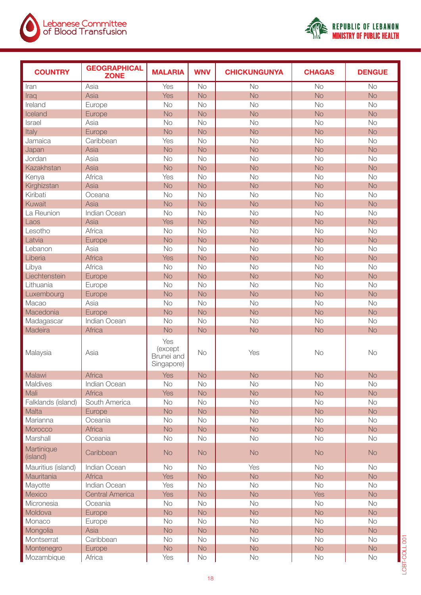



| <b>COUNTRY</b>         | <b>GEOGRAPHICAL</b><br><b>ZONE</b> | <b>MALARIA</b>                             | <b>WNV</b> | <b>CHICKUNGUNYA</b> | <b>CHAGAS</b> | <b>DENGUE</b> |
|------------------------|------------------------------------|--------------------------------------------|------------|---------------------|---------------|---------------|
| Iran                   | Asia                               | Yes                                        | No         | No                  | No            | No            |
| Iraq                   | Asia                               | Yes                                        | <b>No</b>  | <b>No</b>           | <b>No</b>     | <b>No</b>     |
| Ireland                | Europe                             | No                                         | No         | No                  | No            | No            |
| Iceland                | Europe                             | <b>No</b>                                  | <b>No</b>  | <b>No</b>           | <b>No</b>     | <b>No</b>     |
| Israel                 | Asia                               | No                                         | No         | No                  | No            | No            |
| Italy                  | Europe                             | <b>No</b>                                  | <b>No</b>  | <b>No</b>           | <b>No</b>     | <b>No</b>     |
| Jamaica                | Caribbean                          | Yes                                        | <b>No</b>  | No                  | No            | No            |
| Japan                  | Asia                               | <b>No</b>                                  | <b>No</b>  | <b>No</b>           | <b>No</b>     | <b>No</b>     |
| Jordan                 | Asia                               | No                                         | No         | No                  | No            | No            |
| Kazakhstan             | Asia                               | <b>No</b>                                  | <b>No</b>  | <b>No</b>           | <b>No</b>     | <b>No</b>     |
| Kenya                  | Africa                             | Yes                                        | No         | No                  | No            | No            |
| Kirghizstan            | Asia                               | <b>No</b>                                  | <b>No</b>  | <b>No</b>           | <b>No</b>     | <b>No</b>     |
| Kiribati               | Oceana                             | No                                         | No         | No                  | No            | No            |
| Kuwait                 | Asia                               | <b>No</b>                                  | <b>No</b>  | <b>No</b>           | <b>No</b>     | <b>No</b>     |
| La Reunion             | Indian Ocean                       | No                                         | No         | No                  | No            | No            |
| Laos                   | Asia                               | Yes                                        | <b>No</b>  | <b>No</b>           | <b>No</b>     | <b>No</b>     |
| Lesotho                | Africa                             | No                                         | <b>No</b>  | No                  | No            | No            |
| Latvia                 | Europe                             | <b>No</b>                                  | <b>No</b>  | <b>No</b>           | <b>No</b>     | <b>No</b>     |
| Lebanon                | Asia                               | No                                         | No         | No                  | No            | No            |
| Liberia                | <b>Africa</b>                      | Yes                                        | <b>No</b>  | <b>No</b>           | <b>No</b>     | <b>No</b>     |
| Libya                  | Africa                             | No                                         | No         | No                  | No            | No            |
| Liechtenstein          | Europe                             | <b>No</b>                                  | <b>No</b>  | <b>No</b>           | <b>No</b>     | <b>No</b>     |
| Lithuania              | Europe                             | <b>No</b>                                  | <b>No</b>  | No                  | No            | No            |
| Luxembourg             | Europe                             | <b>No</b>                                  | <b>No</b>  | <b>No</b>           | <b>No</b>     | <b>No</b>     |
| Macao                  | Asia                               | No                                         | No         | No                  | No            | No            |
| Macedonia              | Europe                             | <b>No</b>                                  | <b>No</b>  | <b>No</b>           | <b>No</b>     | <b>No</b>     |
| Madagascar             | Indian Ocean                       | No                                         | No         | No                  | No            | No            |
| Madeira                | <b>Africa</b>                      | <b>No</b>                                  | <b>No</b>  | <b>No</b>           | No            | No            |
| Malaysia               | Asia                               | Yes<br>(except<br>Brunei and<br>Singapore) | <b>No</b>  | Yes                 | No            | No            |
| Malawi                 | <b>Africa</b>                      | Yes                                        | No         | No                  | No            | No            |
| Maldives               | Indian Ocean                       | No                                         | No         | No                  | No            | No            |
| Mali                   | Africa                             | <b>Yes</b>                                 | <b>No</b>  | No                  | No            | No            |
| Falklands (island)     | South America                      | No                                         | No         | No                  | No            | No            |
| Malta                  | Europe                             | <b>No</b>                                  | <b>No</b>  | No                  | No            | <b>No</b>     |
| Marianna               | Oceania                            | No                                         | No         | No                  | No            | No            |
| Morocco                | <b>Africa</b>                      | <b>No</b>                                  | <b>No</b>  | No                  | <b>No</b>     | <b>No</b>     |
| Marshall               | Oceania                            | No                                         | No         | No                  | No            | No            |
| Martinique<br>(island) | Caribbean                          | <b>No</b>                                  | <b>No</b>  | <b>No</b>           | <b>No</b>     | <b>No</b>     |
| Mauritius (island)     | Indian Ocean                       | No                                         | <b>No</b>  | Yes                 | No            | No            |
| Mauritania             | Africa                             | <b>Yes</b>                                 | <b>No</b>  | No                  | <b>No</b>     | No            |
| Mayotte                | Indian Ocean                       | Yes                                        | No         | No                  | No            | No            |
| Mexico                 | <b>Central America</b>             | <b>Yes</b>                                 | No         | No                  | <b>Yes</b>    | No            |
| Micronesia             | Oceania                            | No                                         | No         | No                  | No            | No            |
| Moldova                | Europe                             | No                                         | No         | No                  | No            | No            |
| Monaco                 | Europe                             | No                                         | No         | No                  | No            | No            |
| Mongolia               | Asia                               | <b>No</b>                                  | <b>No</b>  | No                  | No            | <b>No</b>     |
| Montserrat             | Caribbean                          | No                                         | No         | No                  | No            | No            |
| Montenegro             | Europe                             | No                                         | No         | No                  | No            | No            |
| Mozambique             | Africa                             | Yes                                        | No         | No                  | No            | No            |
|                        |                                    |                                            |            |                     |               |               |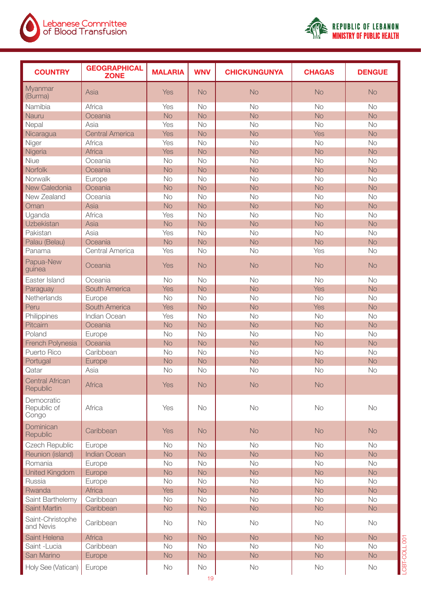



| <b>COUNTRY</b>                     | <b>GEOGRAPHICAL</b><br><b>ZONE</b> | <b>MALARIA</b> | <b>WNV</b> | <b>CHICKUNGUNYA</b> | <b>CHAGAS</b> | <b>DENGUE</b> |
|------------------------------------|------------------------------------|----------------|------------|---------------------|---------------|---------------|
| Myanmar<br>(Burma)                 | Asia                               | Yes            | <b>No</b>  | <b>No</b>           | <b>No</b>     | <b>No</b>     |
| Namibia                            | Africa                             | Yes            | <b>No</b>  | <b>No</b>           | <b>No</b>     | No            |
| Nauru                              | Oceania                            | <b>No</b>      | <b>No</b>  | <b>No</b>           | <b>No</b>     | <b>No</b>     |
| Nepal                              | Asia                               | Yes            | <b>No</b>  | <b>No</b>           | <b>No</b>     | <b>No</b>     |
| Nicaragua                          | <b>Central America</b>             | Yes            | <b>No</b>  | <b>No</b>           | Yes           | <b>No</b>     |
| Niger                              | Africa                             | Yes            | <b>No</b>  | <b>No</b>           | <b>No</b>     | <b>No</b>     |
| Nigeria                            | Africa                             | Yes            | <b>No</b>  | <b>No</b>           | <b>No</b>     | <b>No</b>     |
| Niue                               | Oceania                            | <b>No</b>      | <b>No</b>  | <b>No</b>           | <b>No</b>     | <b>No</b>     |
| Norfolk                            | Oceania                            | <b>No</b>      | <b>No</b>  | <b>No</b>           | <b>No</b>     | <b>No</b>     |
| Norwalk                            | Europe                             | <b>No</b>      | <b>No</b>  | <b>No</b>           | <b>No</b>     | No            |
| New Caledonia                      | Oceania                            | <b>No</b>      | <b>No</b>  | <b>No</b>           | <b>No</b>     | <b>No</b>     |
| New Zealand                        | Oceania                            | No             | <b>No</b>  | <b>No</b>           | <b>No</b>     | <b>No</b>     |
| Oman                               | Asia                               | <b>No</b>      | <b>No</b>  | <b>No</b>           | <b>No</b>     | <b>No</b>     |
| Uganda                             | Africa                             | Yes            | <b>No</b>  | <b>No</b>           | <b>No</b>     | <b>No</b>     |
| Uzbekistan                         | Asia                               | <b>No</b>      | <b>No</b>  | <b>No</b>           | <b>No</b>     | <b>No</b>     |
| Pakistan                           | Asia                               | Yes            | <b>No</b>  | <b>No</b>           | <b>No</b>     | <b>No</b>     |
| Palau (Belau)                      | Oceania                            | <b>No</b>      | <b>No</b>  | <b>No</b>           | <b>No</b>     | <b>No</b>     |
| Panama                             | <b>Central America</b>             | Yes            | <b>No</b>  | <b>No</b>           | Yes           | No            |
| Papua-New<br>guinea                | Oceania                            | Yes            | <b>No</b>  | <b>No</b>           | <b>No</b>     | <b>No</b>     |
| Easter Island                      | Oceania                            | <b>No</b>      | <b>No</b>  | <b>No</b>           | <b>No</b>     | <b>No</b>     |
| Paraguay                           | South America                      | Yes            | <b>No</b>  | <b>No</b>           | Yes           | <b>No</b>     |
| Netherlands                        | Europe                             | <b>No</b>      | <b>No</b>  | <b>No</b>           | <b>No</b>     | <b>No</b>     |
| Peru                               | South America                      | Yes            | <b>No</b>  | <b>No</b>           | Yes           | <b>No</b>     |
| Philippines                        | Indian Ocean                       | Yes            | <b>No</b>  | No                  | <b>No</b>     | No            |
| Pitcairn                           | Oceania                            | <b>No</b>      | <b>No</b>  | <b>No</b>           | <b>No</b>     | <b>No</b>     |
| Poland                             | Europe                             | <b>No</b>      | <b>No</b>  | <b>No</b>           | <b>No</b>     | <b>No</b>     |
| French Polynesia                   | Oceania                            | <b>No</b>      | <b>No</b>  | <b>No</b>           | <b>No</b>     | <b>No</b>     |
| Puerto Rico                        | Caribbean                          | <b>No</b>      | No         | <b>No</b>           | <b>No</b>     | No            |
| Portugal                           | Europe                             | <b>No</b>      | <b>No</b>  | <b>No</b>           | <b>No</b>     | <b>No</b>     |
| Qatar                              | Asia                               | <b>No</b>      | <b>No</b>  | <b>No</b>           | <b>No</b>     | No            |
| <b>Central African</b><br>Republic | Africa                             | <b>Yes</b>     | <b>No</b>  | <b>No</b>           | <b>No</b>     |               |
| Democratic<br>Republic of<br>Congo | Africa                             | Yes            | <b>No</b>  | No                  | No            | No            |
| Dominican<br>Republic              | Caribbean                          | <b>Yes</b>     | <b>No</b>  | <b>No</b>           | <b>No</b>     | <b>No</b>     |
| Czech Republic                     | Europe                             | No             | <b>No</b>  | <b>No</b>           | <b>No</b>     | <b>No</b>     |
| Reunion (island)                   | <b>Indian Ocean</b>                | <b>No</b>      | <b>No</b>  | <b>No</b>           | <b>No</b>     | <b>No</b>     |
| Romania                            | Europe                             | No             | <b>No</b>  | No                  | <b>No</b>     | No            |
| United Kingdom                     | Europe                             | <b>No</b>      | <b>No</b>  | <b>No</b>           | No            | <b>No</b>     |
| Russia                             | Europe                             | No             | No         | No                  | No            | No            |
| Rwanda                             | <b>Africa</b>                      | <b>Yes</b>     | <b>No</b>  | <b>No</b>           | <b>No</b>     | <b>No</b>     |
| Saint Barthelemy                   | Caribbean                          | <b>No</b>      | <b>No</b>  | <b>No</b>           | <b>No</b>     | No            |
| Saint Martin                       | Caribbean                          | No             | <b>No</b>  | <b>No</b>           | <b>No</b>     | <b>No</b>     |
| Saint-Christophe<br>and Nevis      | Caribbean                          | <b>No</b>      | <b>No</b>  | No                  | No            | No            |
| Saint Helena                       | Africa                             | <b>No</b>      | <b>No</b>  | <b>No</b>           | <b>No</b>     | <b>No</b>     |
| Saint -Lucia                       | Caribbean                          | No             | No         | No                  | No            | No            |
| San Marino                         | Europe                             | No             | <b>No</b>  | <b>No</b>           | <b>No</b>     | <b>No</b>     |
| Holy See (Vatican)                 | Europe                             | <b>No</b>      | No         | No                  | No            | No            |